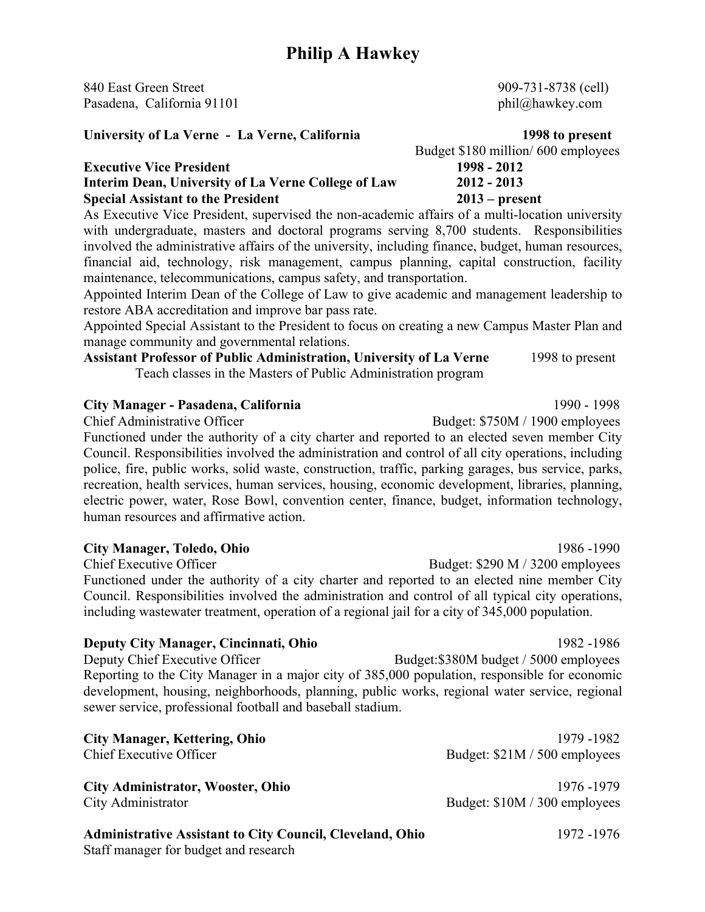840 East Green Street 909-731-8738 (cell) Pasadena, California 91101 phil $@$ hawkey.com

#### **University of La Verne - La Verne, California 1998 to present**

|                                                     | $\frac{1}{2}$ $\frac{1}{2}$ $\frac{1}{2}$ $\frac{1}{2}$ $\frac{1}{2}$ $\frac{1}{2}$ $\frac{1}{2}$ $\frac{1}{2}$ $\frac{1}{2}$ $\frac{1}{2}$ $\frac{1}{2}$ $\frac{1}{2}$ $\frac{1}{2}$ $\frac{1}{2}$ $\frac{1}{2}$ $\frac{1}{2}$ $\frac{1}{2}$ $\frac{1}{2}$ $\frac{1}{2}$ $\frac{1}{2}$ $\frac{1}{2}$ $\frac{1}{2}$ |
|-----------------------------------------------------|---------------------------------------------------------------------------------------------------------------------------------------------------------------------------------------------------------------------------------------------------------------------------------------------------------------------|
| <b>Executive Vice President</b>                     | 1998 - 2012                                                                                                                                                                                                                                                                                                         |
| Interim Dean, University of La Verne College of Law | $2012 - 2013$                                                                                                                                                                                                                                                                                                       |
| <b>Special Assistant to the President</b>           | $2013$ – present                                                                                                                                                                                                                                                                                                    |

As Executive Vice President, supervised the non-academic affairs of a multi-location university with undergraduate, masters and doctoral programs serving 8,700 students. Responsibilities involved the administrative affairs of the university, including finance, budget, human resources, financial aid, technology, risk management, campus planning, capital construction, facility maintenance, telecommunications, campus safety, and transportation.

Appointed Interim Dean of the College of Law to give academic and management leadership to restore ABA accreditation and improve bar pass rate.

Appointed Special Assistant to the President to focus on creating a new Campus Master Plan and manage community and governmental relations.

### **Assistant Professor of Public Administration, University of La Verne** 1998 to present Teach classes in the Masters of Public Administration program

### **City Manager - Pasadena, California** 1990 - 1998

Functioned under the authority of a city charter and reported to an elected seven member City Council. Responsibilities involved the administration and control of all city operations, including police, fire, public works, solid waste, construction, traffic, parking garages, bus service, parks, recreation, health services, human services, housing, economic development, libraries, planning, electric power, water, Rose Bowl, convention center, finance, budget, information technology, human resources and affirmative action.

**City Manager, Toledo, Ohio** 1986 -1990 Chief Executive Officer Budget: \$290 M / 3200 employees Functioned under the authority of a city charter and reported to an elected nine member City Council. Responsibilities involved the administration and control of all typical city operations, including wastewater treatment, operation of a regional jail for a city of 345,000 population.

**Deputy City Manager, Cincinnati, Ohio** 1982 -1986 Deputy Chief Executive Officer Budget:\$380M budget / 5000 employees Reporting to the City Manager in a major city of 385,000 population, responsible for economic development, housing, neighborhoods, planning, public works, regional water service, regional sewer service, professional football and baseball stadium.

| <b>City Manager, Kettering, Ohio</b>                                                                      | 1979 - 1982                   |
|-----------------------------------------------------------------------------------------------------------|-------------------------------|
| Chief Executive Officer                                                                                   | Budget: \$21M / 500 employees |
| <b>City Administrator, Wooster, Ohio</b>                                                                  | 1976 - 1979                   |
| City Administrator                                                                                        | Budget: \$10M / 300 employees |
| <b>Administrative Assistant to City Council, Cleveland, Ohio</b><br>Staff manager for budget and research | 1972 -1976                    |

Budget \$180 million/ 600 employees

Chief Administrative Officer Budget: \$750M / 1900 employees